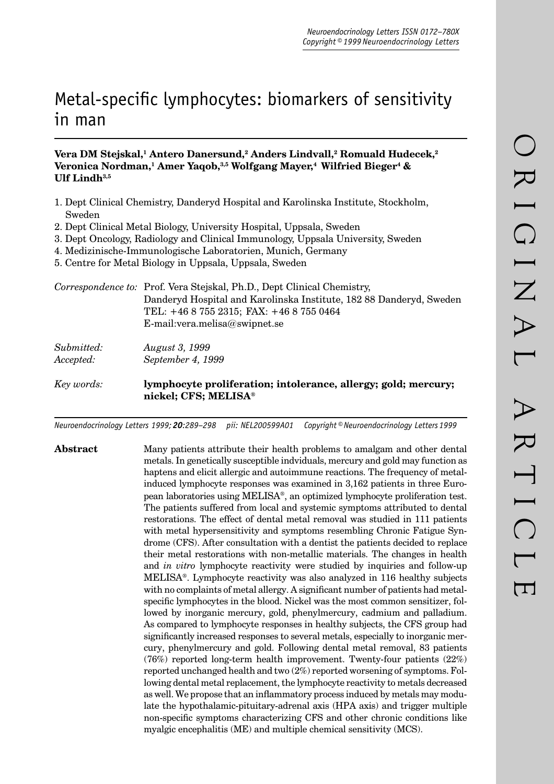# Metal-specific lymphocytes: biomarkers of sensitivity in man

# Vera DM Stejskal,<sup>1</sup> Antero Danersund,<sup>2</sup> Anders Lindvall,<sup>2</sup> Romuald Hudecek,<sup>2</sup> Veronica Nordman,<sup>1</sup> Amer Yaqob,<sup>3,5</sup> Wolfgang Mayer,<sup>4</sup> Wilfried Bieger<sup>4</sup> & **Ulf Lindh3,5**

- 1. Dept Clinical Chemistry, Danderyd Hospital and Karolinska Institute, Stockholm, Sweden
- 2. Dept Clinical Metal Biology, University Hospital, Uppsala, Sweden
- 3. Dept Oncology, Radiology and Clinical Immunology, Uppsala University, Sweden
- 4. Medizinische-Immunologische Laboratorien, Munich, Germany
- 5. Centre for Metal Biology in Uppsala, Uppsala, Sweden

|                         | Correspondence to: Prof. Vera Stejskal, Ph.D., Dept Clinical Chemistry,<br>Danderyd Hospital and Karolinska Institute, 182 88 Danderyd, Sweden<br>TEL: +46 8 755 2315; FAX: +46 8 755 0464<br>E-mail: vera.melisa@swipnet.se |
|-------------------------|------------------------------------------------------------------------------------------------------------------------------------------------------------------------------------------------------------------------------|
| Submitted:<br>Accepted: | <i>August 3, 1999</i><br>September 4, 1999                                                                                                                                                                                   |
| Key words:              | lymphocyte proliferation; intolerance, allergy; gold; mercury;<br>nickel; CFS; MELISA®                                                                                                                                       |

*Neuroendocrinology Letters 1999; 20:289–298 pii: NEL200599A01 Copyright © Neuroendocrinology Letters 1999*

**Abstract** Many patients attribute their health problems to amalgam and other dental metals. In genetically susceptible indviduals, mercury and gold may function as haptens and elicit allergic and autoimmune reactions. The frequency of metalinduced lymphocyte responses was examined in 3,162 patients in three European laboratories using MELISA®, an optimized lymphocyte proliferation test. The patients suffered from local and systemic symptoms attributed to dental restorations. The effect of dental metal removal was studied in 111 patients with metal hypersensitivity and symptoms resembling Chronic Fatigue Syndrome (CFS). After consultation with a dentist the patients decided to replace their metal restorations with non-metallic materials. The changes in health and *in vitro* lymphocyte reactivity were studied by inquiries and follow-up MELISA®. Lymphocyte reactivity was also analyzed in 116 healthy subjects with no complaints of metal allergy. A significant number of patients had metalspecific lymphocytes in the blood. Nickel was the most common sensitizer, followed by inorganic mercury, gold, phenylmercury, cadmium and palladium. As compared to lymphocyte responses in healthy subjects, the CFS group had significantly increased responses to several metals, especially to inorganic mercury, phenylmercury and gold. Following dental metal removal, 83 patients (76%) reported long-term health improvement. Twenty-four patients (22%) reported unchanged health and two (2%) reported worsening of symptoms. Following dental metal replacement, the lymphocyte reactivity to metals decreased as well. We propose that an inflammatory process induced by metals may modulate the hypothalamic-pituitary-adrenal axis (HPA axis) and trigger multiple non-specific symptoms characterizing CFS and other chronic conditions like myalgic encephalitis (ME) and multiple chemical sensitivity (MCS).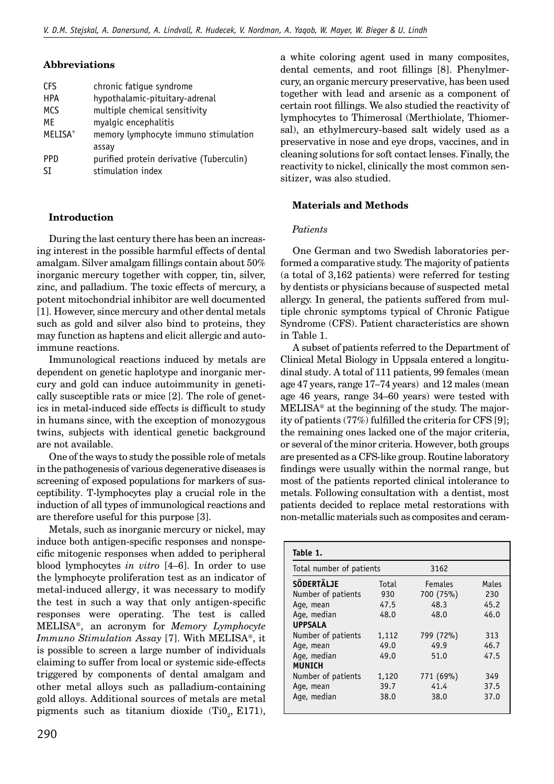# **Abbreviations**

| <b>CFS</b>     | chronic fatique syndrome                 |
|----------------|------------------------------------------|
| <b>HPA</b>     | hypothalamic-pituitary-adrenal           |
| <b>MCS</b>     | multiple chemical sensitivity            |
| МF             | myalgic encephalitis                     |
| <b>MELISA®</b> | memory lymphocyte immuno stimulation     |
|                | assay                                    |
| <b>PPD</b>     | purified protein derivative (Tuberculin) |
| ςT             | stimulation index                        |

# **Introduction**

During the last century there has been an increasing interest in the possible harmful effects of dental amalgam. Silver amalgam fillings contain about  $50\%$ inorganic mercury together with copper, tin, silver, zinc, and palladium. The toxic effects of mercury, a potent mitochondrial inhibitor are well documented [1]. However, since mercury and other dental metals such as gold and silver also bind to proteins, they may function as haptens and elicit allergic and autoimmune reactions.

Immunological reactions induced by metals are dependent on genetic haplotype and inorganic mercury and gold can induce autoimmunity in genetically susceptible rats or mice [2]. The role of genetics in metal-induced side effects is difficult to study in humans since, with the exception of monozygous twins, subjects with identical genetic background are not available.

One of the ways to study the possible role of metals in the pathogenesis of various degenerative diseases is screening of exposed populations for markers of susceptibility. T-lymphocytes play a crucial role in the induction of all types of immunological reactions and are therefore useful for this purpose [3].

Metals, such as inorganic mercury or nickel, may induce both antigen-specific responses and nonspecific mitogenic responses when added to peripheral blood lymphocytes *in vitro* [4–6]. In order to use the lymphocyte proliferation test as an indicator of metal-induced allergy, it was necessary to modify the test in such a way that only antigen-specific responses were operating. The test is called MELISA®, an acronym for *Memory Lymphocyte Immuno Stimulation Assay* [7]. With MELISA®, it is possible to screen a large number of individuals claiming to suffer from local or systemic side-effects triggered by components of dental amalgam and other metal alloys such as palladium-containing gold alloys. Additional sources of metals are metal pigments such as titanium dioxide  $(Ti0<sub>2</sub>, E171)$ ,

a white coloring agent used in many composites, dental cements, and root fillings [8]. Phenylmercury, an organic mercury preservative, has been used together with lead and arsenic as a component of certain root fillings. We also studied the reactivity of lymphocytes to Thimerosal (Merthiolate, Thiomersal), an ethylmercury-based salt widely used as a preservative in nose and eye drops, vaccines, and in cleaning solutions for soft contact lenses. Finally, the reactivity to nickel, clinically the most common sensitizer, was also studied.

# **Materials and Methods**

### *Patients*

One German and two Swedish laboratories performed a comparative study. The majority of patients (a total of 3,162 patients) were referred for testing by dentists or physicians because of suspected metal allergy. In general, the patients suffered from multiple chronic symptoms typical of Chronic Fatigue Syndrome (CFS). Patient characteristics are shown in Table 1.

A subset of patients referred to the Department of Clinical Metal Biology in Uppsala entered a longitudinal study. A total of 111 patients, 99 females (mean age 47 years, range 17–74 years) and 12 males (mean age 46 years, range 34–60 years) were tested with MELISA® at the beginning of the study. The majority of patients  $(77%)$  fulfilled the criteria for CFS [9]; the remaining ones lacked one of the major criteria, or several of the minor criteria. However, both groups are presented as a CFS-like group. Routine laboratory findings were usually within the normal range, but most of the patients reported clinical intolerance to metals. Following consultation with a dentist, most patients decided to replace metal restorations with non-metallic materials such as composites and ceram-

| Table 1.                                |              |                             |              |  |  |  |
|-----------------------------------------|--------------|-----------------------------|--------------|--|--|--|
| Total number of patients                |              | 3162                        |              |  |  |  |
| <b>SÖDERTÄLJE</b><br>Number of patients | Total<br>930 | <b>Females</b><br>700 (75%) | Males<br>230 |  |  |  |
| Age, mean                               | 47.5         | 48.3                        | 45.2         |  |  |  |
| Age, median<br><b>UPPSALA</b>           | 48.0         | 48.0                        | 46.0         |  |  |  |
| Number of patients                      | 1,112        | 799 (72%)                   | 313          |  |  |  |
| Age, mean                               | 49.0         | 49.9                        | 46.7         |  |  |  |
| Age, median                             | 49.0         | 51.0                        | 47.5         |  |  |  |
| <b>MUNICH</b>                           |              |                             |              |  |  |  |
| Number of patients                      | 1,120        | 771 (69%)                   | 349          |  |  |  |
| Age, mean                               | 39.7         | 41.4                        | 37.5         |  |  |  |
| Age, median                             | 38.0         | 38.0                        | 37.0         |  |  |  |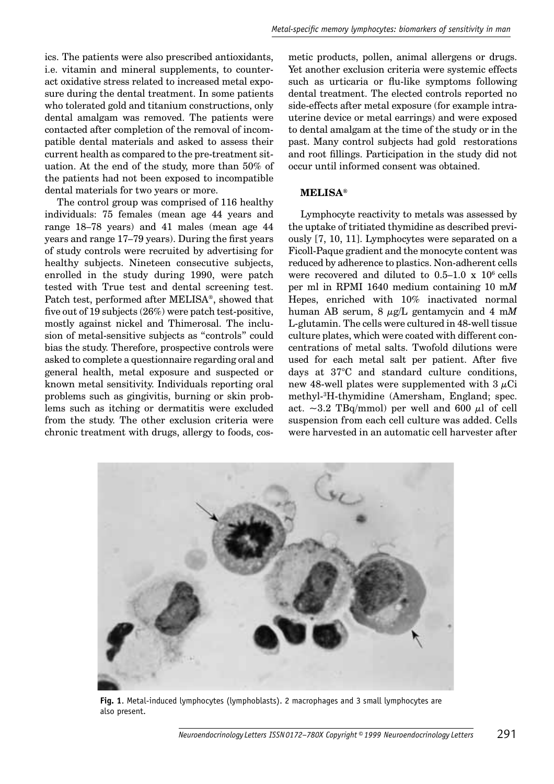ics. The patients were also prescribed antioxidants, i.e. vitamin and mineral supplements, to counteract oxidative stress related to increased metal exposure during the dental treatment. In some patients who tolerated gold and titanium constructions, only dental amalgam was removed. The patients were contacted after completion of the removal of incompatible dental materials and asked to assess their current health as compared to the pre-treatment situation. At the end of the study, more than 50% of the patients had not been exposed to incompatible dental materials for two years or more.

The control group was comprised of 116 healthy individuals: 75 females (mean age 44 years and range 18–78 years) and 41 males (mean age 44 years and range 17–79 years). During the first years of study controls were recruited by advertising for healthy subjects. Nineteen consecutive subjects, enrolled in the study during 1990, were patch tested with True test and dental screening test. Patch test, performed after MELISA®, showed that five out of 19 subjects  $(26%)$  were patch test-positive, mostly against nickel and Thimerosal. The inclusion of metal-sensitive subjects as "controls" could bias the study. Therefore, prospective controls were asked to complete a questionnaire regarding oral and general health, metal exposure and suspected or known metal sensitivity. Individuals reporting oral problems such as gingivitis, burning or skin problems such as itching or dermatitis were excluded from the study. The other exclusion criteria were chronic treatment with drugs, allergy to foods, cosmetic products, pollen, animal allergens or drugs. Yet another exclusion criteria were systemic effects such as urticaria or flu-like symptoms following dental treatment. The elected controls reported no side-effects after metal exposure (for example intrauterine device or metal earrings) and were exposed to dental amalgam at the time of the study or in the past. Many control subjects had gold restorations and root fillings. Participation in the study did not occur until informed consent was obtained.

#### **MELISA®**

Lymphocyte reactivity to metals was assessed by the uptake of tritiated thymidine as described previously [7, 10, 11]. Lymphocytes were separated on a Ficoll-Paque gradient and the monocyte content was reduced by adherence to plastics. Non-adherent cells were recovered and diluted to  $0.5-1.0 \times 10^6$  cells per ml in RPMI 1640 medium containing 10 m*M* Hepes, enriched with 10% inactivated normal human AB serum, 8 µg/L gentamycin and 4 m*M* L-glutamin. The cells were cultured in 48-well tissue culture plates, which were coated with different concentrations of metal salts. Twofold dilutions were used for each metal salt per patient. After five days at 37°C and standard culture conditions, new 48-well plates were supplemented with  $3 \mu$ Ci methyl-3 H-thymidine (Amersham, England; spec. act.  $\sim$ 3.2 TBq/mmol) per well and 600  $\mu$ l of cell suspension from each cell culture was added. Cells were harvested in an automatic cell harvester after



**Fig. 1**. Metal-induced lymphocytes (lymphoblasts). 2 macrophages and 3 small lymphocytes are also present.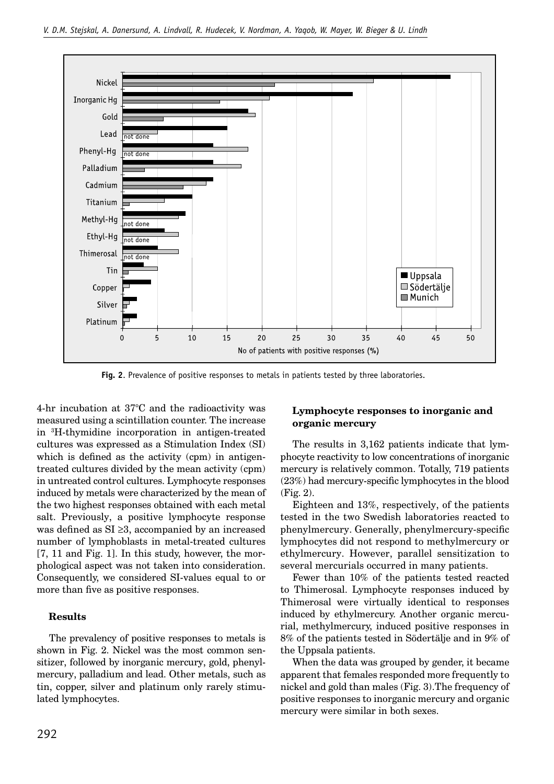

**Fig. 2**. Prevalence of positive responses to metals in patients tested by three laboratories.

4-hr incubation at 37°C and the radioactivity was measured using a scintillation counter. The increase in 3 H-thymidine incorporation in antigen-treated cultures was expressed as a Stimulation Index (SI) which is defined as the activity  $(cpm)$  in antigentreated cultures divided by the mean activity (cpm) in untreated control cultures. Lymphocyte responses induced by metals were characterized by the mean of the two highest responses obtained with each metal salt. Previously, a positive lymphocyte response was defined as  $SI \geq 3$ , accompanied by an increased number of lymphoblasts in metal-treated cultures [7, 11 and Fig. 1]. In this study, however, the morphological aspect was not taken into consideration. Consequently, we considered SI-values equal to or more than five as positive responses.

### **Results**

The prevalency of positive responses to metals is shown in Fig. 2. Nickel was the most common sensitizer, followed by inorganic mercury, gold, phenylmercury, palladium and lead. Other metals, such as tin, copper, silver and platinum only rarely stimulated lymphocytes.

## **Lymphocyte responses to inorganic and organic mercury**

The results in 3,162 patients indicate that lymphocyte reactivity to low concentrations of inorganic mercury is relatively common. Totally, 719 patients  $(23%)$  had mercury-specific lymphocytes in the blood (Fig. 2).

Eighteen and 13%, respectively, of the patients tested in the two Swedish laboratories reacted to phenylmercury. Generally, phenylmercury-specific lymphocytes did not respond to methylmercury or ethylmercury. However, parallel sensitization to several mercurials occurred in many patients.

Fewer than 10% of the patients tested reacted to Thimerosal. Lymphocyte responses induced by Thimerosal were virtually identical to responses induced by ethylmercury. Another organic mercurial, methylmercury, induced positive responses in 8% of the patients tested in Södertälje and in 9% of the Uppsala patients.

When the data was grouped by gender, it became apparent that females responded more frequently to nickel and gold than males (Fig. 3).The frequency of positive responses to inorganic mercury and organic mercury were similar in both sexes.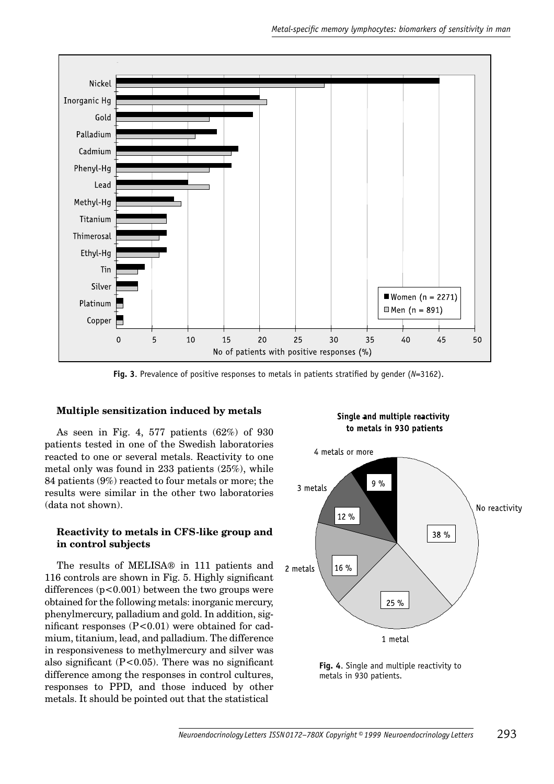

**Fig. 3**. Prevalence of positive responses to metals in patients stratified by gender (*N*=3162).

### **Multiple sensitization induced by metals**

As seen in Fig. 4, 577 patients (62%) of 930 patients tested in one of the Swedish laboratories reacted to one or several metals. Reactivity to one metal only was found in 233 patients (25%), while 84 patients (9%) reacted to four metals or more; the results were similar in the other two laboratories (data not shown).

#### **Reactivity to metals in CFS-like group and in control subjects**

The results of MELISA® in 111 patients and 116 controls are shown in Fig. 5. Highly significant differences  $(p<0.001)$  between the two groups were obtained for the following metals: inorganic mercury, phenylmercury, palladium and gold. In addition, significant responses  $(P<0.01)$  were obtained for cadmium, titanium, lead, and palladium. The difference in responsiveness to methylmercury and silver was also significant  $(P<0.05)$ . There was no significant difference among the responses in control cultures, responses to PPD, and those induced by other metals. It should be pointed out that the statistical

Single and multiple reactivity to metals in 930 patients



**Fig. 4**. Single and multiple reactivity to metals in 930 patients.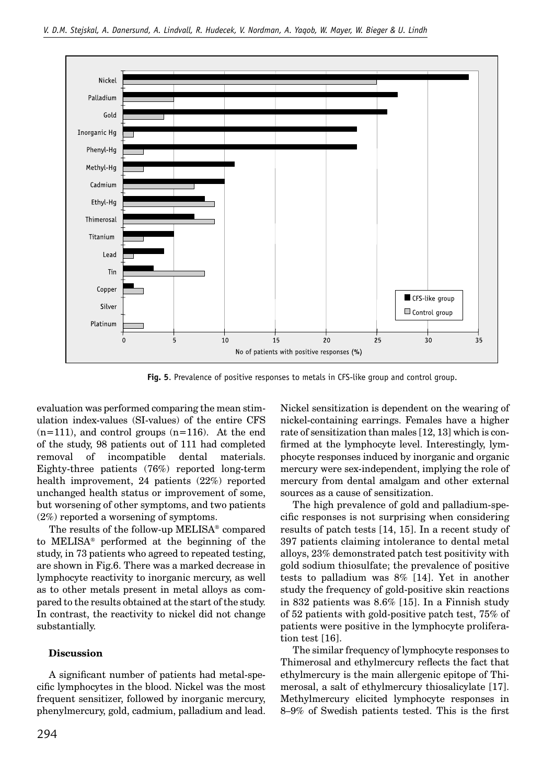

**Fig. 5**. Prevalence of positive responses to metals in CFS-like group and control group.

evaluation was performed comparing the mean stimulation index-values (SI-values) of the entire CFS  $(n=111)$ , and control groups  $(n=116)$ . At the end of the study, 98 patients out of 111 had completed removal of incompatible dental materials. Eighty-three patients (76%) reported long-term health improvement, 24 patients (22%) reported unchanged health status or improvement of some, but worsening of other symptoms, and two patients (2%) reported a worsening of symptoms.

The results of the follow-up MELISA® compared to MELISA® performed at the beginning of the study, in 73 patients who agreed to repeated testing, are shown in Fig.6. There was a marked decrease in lymphocyte reactivity to inorganic mercury, as well as to other metals present in metal alloys as compared to the results obtained at the start of the study. In contrast, the reactivity to nickel did not change substantially.

### **Discussion**

A significant number of patients had metal-specific lymphocytes in the blood. Nickel was the most frequent sensitizer, followed by inorganic mercury, phenylmercury, gold, cadmium, palladium and lead. Nickel sensitization is dependent on the wearing of nickel-containing earrings. Females have a higher rate of sensitization than males [12, 13] which is confirmed at the lymphocyte level. Interestingly, lymphocyte responses induced by inorganic and organic mercury were sex-independent, implying the role of mercury from dental amalgam and other external sources as a cause of sensitization.

The high prevalence of gold and palladium-specific responses is not surprising when considering results of patch tests [14, 15]. In a recent study of 397 patients claiming intolerance to dental metal alloys, 23% demonstrated patch test positivity with gold sodium thiosulfate; the prevalence of positive tests to palladium was 8% [14]. Yet in another study the frequency of gold-positive skin reactions in 832 patients was 8.6% [15]. In a Finnish study of 52 patients with gold-positive patch test, 75% of patients were positive in the lymphocyte proliferation test [16].

The similar frequency of lymphocyte responses to Thimerosal and ethylmercury reflects the fact that ethylmercury is the main allergenic epitope of Thimerosal, a salt of ethylmercury thiosalicylate [17]. Methylmercury elicited lymphocyte responses in 8–9% of Swedish patients tested. This is the first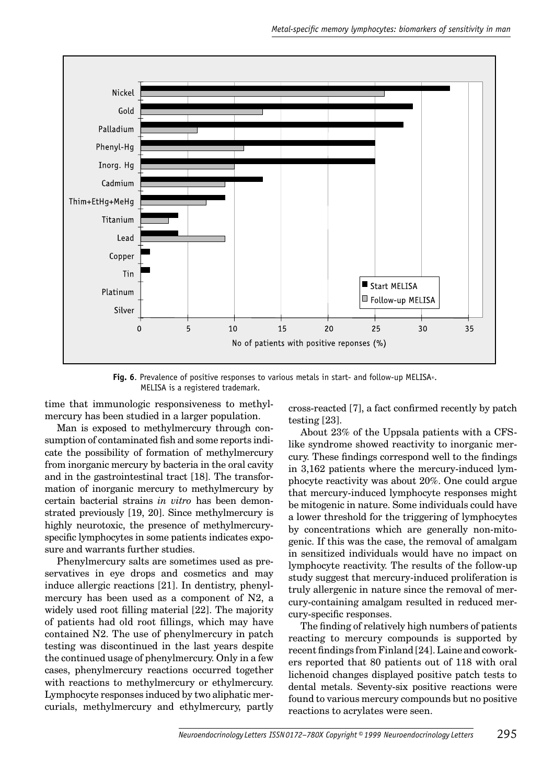

**Fig. 6**. Prevalence of positive responses to various metals in start- and follow-up MELISA®.<br>MELISA is a registered trademark.

time that immunologic responsiveness to methylmercury has been studied in a larger population.

Man is exposed to methylmercury through consumption of contaminated fish and some reports indicate the possibility of formation of methylmercury from inorganic mercury by bacteria in the oral cavity and in the gastrointestinal tract [18]. The transformation of inorganic mercury to methylmercury by certain bacterial strains *in vitro* has been demonstrated previously [19, 20]. Since methylmercury is highly neurotoxic, the presence of methylmercuryspecific lymphocytes in some patients indicates exposure and warrants further studies.

Phenylmercury salts are sometimes used as preservatives in eye drops and cosmetics and may induce allergic reactions [21]. In dentistry, phenylmercury has been used as a component of N2, a widely used root filling material [22]. The majority of patients had old root fillings, which may have contained N2. The use of phenylmercury in patch testing was discontinued in the last years despite the continued usage of phenylmercury. Only in a few cases, phenylmercury reactions occurred together with reactions to methylmercury or ethylmercury. Lymphocyte responses induced by two aliphatic mercurials, methylmercury and ethylmercury, partly cross-reacted [7], a fact confirmed recently by patch testing [23].

About 23% of the Uppsala patients with a CFSlike syndrome showed reactivity to inorganic mercury. These findings correspond well to the findings in 3,162 patients where the mercury-induced lymphocyte reactivity was about 20%. One could argue that mercury-induced lymphocyte responses might be mitogenic in nature. Some individuals could have a lower threshold for the triggering of lymphocytes by concentrations which are generally non-mitogenic. If this was the case, the removal of amalgam in sensitized individuals would have no impact on lymphocyte reactivity. The results of the follow-up study suggest that mercury-induced proliferation is truly allergenic in nature since the removal of mercury-containing amalgam resulted in reduced mercury-specific responses.

The finding of relatively high numbers of patients reacting to mercury compounds is supported by recent findings from Finland [24]. Laine and coworkers reported that 80 patients out of 118 with oral lichenoid changes displayed positive patch tests to dental metals. Seventy-six positive reactions were found to various mercury compounds but no positive reactions to acrylates were seen.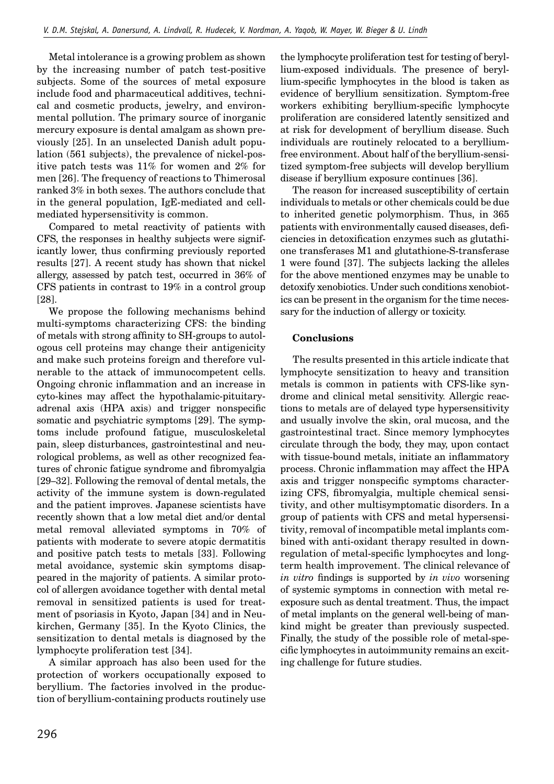Metal intolerance is a growing problem as shown by the increasing number of patch test-positive subjects. Some of the sources of metal exposure include food and pharmaceutical additives, technical and cosmetic products, jewelry, and environmental pollution. The primary source of inorganic mercury exposure is dental amalgam as shown previously [25]. In an unselected Danish adult population (561 subjects), the prevalence of nickel-positive patch tests was 11% for women and 2% for men [26]. The frequency of reactions to Thimerosal ranked 3% in both sexes. The authors conclude that in the general population, IgE-mediated and cellmediated hypersensitivity is common.

Compared to metal reactivity of patients with CFS, the responses in healthy subjects were significantly lower, thus confirming previously reported results [27]. A recent study has shown that nickel allergy, assessed by patch test, occurred in 36% of CFS patients in contrast to 19% in a control group [28].

We propose the following mechanisms behind multi-symptoms characterizing CFS: the binding of metals with strong affinity to SH-groups to autologous cell proteins may change their antigenicity and make such proteins foreign and therefore vulnerable to the attack of immunocompetent cells. Ongoing chronic inflammation and an increase in cyto-kines may affect the hypothalamic-pituitaryadrenal axis (HPA axis) and trigger nonspecific somatic and psychiatric symptoms [29]. The symptoms include profound fatigue, musculoskeletal pain, sleep disturbances, gastrointestinal and neurological problems, as well as other recognized features of chronic fatigue syndrome and fibromyalgia [29–32]. Following the removal of dental metals, the activity of the immune system is down-regulated and the patient improves. Japanese scientists have recently shown that a low metal diet and/or dental metal removal alleviated symptoms in 70% of patients with moderate to severe atopic dermatitis and positive patch tests to metals [33]. Following metal avoidance, systemic skin symptoms disappeared in the majority of patients. A similar protocol of allergen avoidance together with dental metal removal in sensitized patients is used for treatment of psoriasis in Kyoto, Japan [34] and in Neukirchen, Germany [35]. In the Kyoto Clinics, the sensitization to dental metals is diagnosed by the lymphocyte proliferation test [34].

A similar approach has also been used for the protection of workers occupationally exposed to beryllium. The factories involved in the production of beryllium-containing products routinely use the lymphocyte proliferation test for testing of beryllium-exposed individuals. The presence of beryllium-specific lymphocytes in the blood is taken as evidence of beryllium sensitization. Symptom-free workers exhibiting beryllium-specific lymphocyte proliferation are considered latently sensitized and at risk for development of beryllium disease. Such individuals are routinely relocated to a berylliumfree environment. About half of the beryllium-sensitized symptom-free subjects will develop beryllium disease if beryllium exposure continues [36].

The reason for increased susceptibility of certain individuals to metals or other chemicals could be due to inherited genetic polymorphism. Thus, in 365 patients with environmentally caused diseases, deficiencies in detoxification enzymes such as glutathione transferases M1 and glutathione-S-transferase 1 were found [37]. The subjects lacking the alleles for the above mentioned enzymes may be unable to detoxify xenobiotics. Under such conditions xenobiotics can be present in the organism for the time necessary for the induction of allergy or toxicity.

### **Conclusions**

The results presented in this article indicate that lymphocyte sensitization to heavy and transition metals is common in patients with CFS-like syndrome and clinical metal sensitivity. Allergic reactions to metals are of delayed type hypersensitivity and usually involve the skin, oral mucosa, and the gastrointestinal tract. Since memory lymphocytes circulate through the body, they may, upon contact with tissue-bound metals, initiate an inflammatory process. Chronic inflammation may affect the HPA axis and trigger nonspecific symptoms characterizing CFS, fibromyalgia, multiple chemical sensitivity, and other multisymptomatic disorders. In a group of patients with CFS and metal hypersensitivity, removal of incompatible metal implants combined with anti-oxidant therapy resulted in downregulation of metal-specific lymphocytes and longterm health improvement. The clinical relevance of *in vitro* findings is supported by *in vivo* worsening of systemic symptoms in connection with metal reexposure such as dental treatment. Thus, the impact of metal implants on the general well-being of mankind might be greater than previously suspected. Finally, the study of the possible role of metal-specific lymphocytes in autoimmunity remains an exciting challenge for future studies.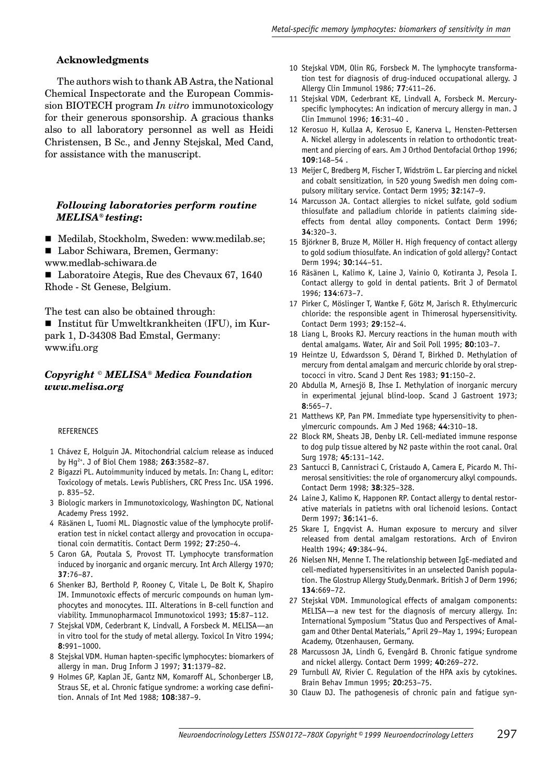#### **Acknowledgments**

The authors wish to thank AB Astra, the National Chemical Inspectorate and the European Commission BIOTECH program *In vitro* immunotoxicology for their generous sponsorship. A gracious thanks also to all laboratory personnel as well as Heidi Christensen, B Sc., and Jenny Stejskal, Med Cand, for assistance with the manuscript.

#### *Following laboratories perform routine MELISA® testing***:**

- Medilab, Stockholm, Sweden: www.medilab.se;
- Labor Schiwara, Bremen, Germany:
- www.medlab-schiwara.de

■ Laboratoire Ategis, Rue des Chevaux 67, 1640 Rhode - St Genese, Belgium.

The test can also be obtained through:

■ Institut für Umweltkrankheiten (IFU), im Kurpark 1, D-34308 Bad Emstal, Germany: www.ifu.org

# *Copyright © MELISA® Medica Foundation www.melisa.org*

#### **REFERENCES**

- 1 Chávez E, Holguin JA. Mitochondrial calcium release as induced by Hg2+. J of Biol Chem 1988; **263**:3582–87.
- 2 Bigazzi PL. Autoimmunity induced by metals. In: Chang L, editor: Toxicology of metals. Lewis Publishers, CRC Press Inc. USA 1996. p. 835–52.
- 3 Biologic markers in Immunotoxicology, Washington DC, National Academy Press 1992.
- 4 Räsänen L, Tuomi ML. Diagnostic value of the lymphocyte proliferation test in nickel contact allergy and provocation in occupational coin dermatitis. Contact Derm 1992; **27**:250–4.
- 5 Caron GA, Poutala S, Provost TT. Lymphocyte transformation induced by inorganic and organic mercury. Int Arch Allergy 1970; **37**:76–87.
- 6 Shenker BJ, Berthold P, Rooney C, Vitale L, De Bolt K, Shapiro IM. Immunotoxic effects of mercuric compounds on human lymphocytes and monocytes. III. Alterations in B-cell function and viability. Immunopharmacol Immunotoxicol 1993; **15**:87–112.
- 7 Stejskal VDM, Cederbrant K, Lindvall, A Forsbeck M. MELISA-an in vitro tool for the study of metal allergy. Toxicol In Vitro 1994; **8**:991–1000.
- 8 Stejskal VDM. Human hapten-specific lymphocytes: biomarkers of allergy in man. Drug Inform J 1997; **31**:1379–82.
- 9 Holmes GP, Kaplan JE, Gantz NM, Komaroff AL, Schonberger LB, Straus SE, et al. Chronic fatique syndrome: a working case definition. Annals of Int Med 1988; **108**:387–9.
- 10 Stejskal VDM, Olin RG, Forsbeck M. The lymphocyte transformation test for diagnosis of drug-induced occupational allergy. J Allergy Clin Immunol 1986; **77**:411–26.
- 11 Stejskal VDM, Cederbrant KE, Lindvall A, Forsbeck M. Mercuryspecific lymphocytes: An indication of mercury allergy in man. J Clin Immunol 1996; **16**:31–40 .
- 12 Kerosuo H, Kullaa A, Kerosuo E, Kanerva L, Hensten-Pettersen A. Nickel allergy in adolescents in relation to orthodontic treatment and piercing of ears. Am J Orthod Dentofacial Orthop 1996; **109**:148–54 .
- 13 Meijer C, Bredberg M, Fischer T, Widström L. Ear piercing and nickel and cobalt sensitization*,* in 520 young Swedish men doing compulsory military service. Contact Derm 1995; **32**:147–9.
- 14 Marcusson JA. Contact allergies to nickel sulfate, gold sodium thiosulfate and palladium chloride in patients claiming sideeffects from dental alloy components. Contact Derm 1996; **34**:320–3.
- 15 Björkner B, Bruze M, Möller H. High frequency of contact allergy to gold sodium thiosulfate. An indication of gold allergy? Contact Derm 1994; **30**:144–51.
- 16 Räsänen L, Kalimo K, Laine J, Vainio O, Kotiranta J, Pesola I. Contact allergy to gold in dental patients. Brit J of Dermatol 1996; **134**:673–7.
- 17 Pirker C, Möslinger T, Wantke F, Götz M, Jarisch R. Ethylmercuric chloride: the responsible agent in Thimerosal hypersensitivity. Contact Derm 1993; **29**:152–4.
- 18 Liang L, Brooks RJ. Mercury reactions in the human mouth with dental amalgams. Water, Air and Soil Poll 1995; **80**:103–7.
- 19 Heintze U, Edwardsson S, Dérand T, Birkhed D. Methylation of mercury from dental amalgam and mercuric chloride by oral streptococci in vitro. Scand J Dent Res 1983; **91**:150–2.
- 20 Abdulla M, Arnesjö B, Ihse I. Methylation of inorganic mercury in experimental jejunal blind-loop. Scand J Gastroent 1973; **8**:565–7.
- 21 Matthews KP, Pan PM. Immediate type hypersensitivity to phenylmercuric compounds. Am J Med 1968; **44**:310–18.
- 22 Block RM, Sheats JB, Denby LR. Cell-mediated immune response to dog pulp tissue altered by N2 paste within the root canal. Oral Surg 1978; **45**:131–142.
- 23 Santucci B, Cannistraci C, Cristaudo A, Camera E, Picardo M. Thimerosal sensitivities: the role of organomercury alkyl compounds. Contact Derm 1998; **38**:325–328.
- 24 Laine J, Kalimo K, Happonen RP. Contact allergy to dental restorative materials in patietns with oral lichenoid lesions. Contact Derm 1997; **36**:141–6.
- 25 Skare I, Engqvist A. Human exposure to mercury and silver released from dental amalgam restorations. Arch of Environ Health 1994; **49**:384–94.
- 26 Nielsen NH, Menne T. The relationship between IgE-mediated and cell-mediated hypersensitivites in an unselected Danish population. The Glostrup Allergy Study,Denmark. British J of Derm 1996; **134**:669–72.
- 27 Stejskal VDM. Immunological effects of amalgam components: MELISA—a new test for the diagnosis of mercury allergy. In: International Symposium "Status Quo and Perspectives of Amalgam and Other Dental Materials," April 29–May 1, 1994; European Academy, Otzenhausen, Germany.
- 28 Marcussosn JA, Lindh G, Evengård B. Chronic fatigue syndrome and nickel allergy. Contact Derm 1999; **40**:269–272.
- 29 Turnbull AV, Rivier C. Regulation of the HPA axis by cytokines. Brain Behav Immun 1995; **20**:253–75.
- 30 Clauw DJ. The pathogenesis of chronic pain and fatigue syn-